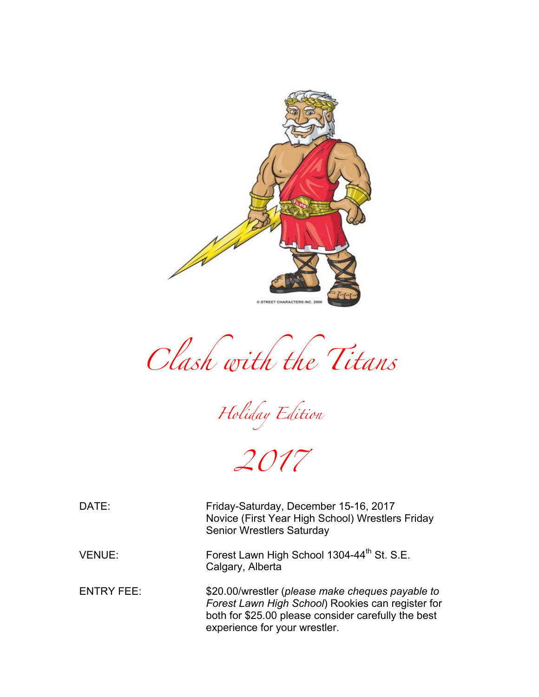

*Clash with the Titans* 

*Holiday Edition*

*2017*

DATE: Friday-Saturday, December 15-16, 2017 Novice (First Year High School) Wrestlers Friday Senior Wrestlers Saturday

VENUE: Forest Lawn High School 1304-44<sup>th</sup> St. S.E. Calgary, Alberta

ENTRY FEE: \$20.00/wrestler (*please make cheques payable to Forest Lawn High School*) Rookies can register for both for \$25.00 please consider carefully the best experience for your wrestler.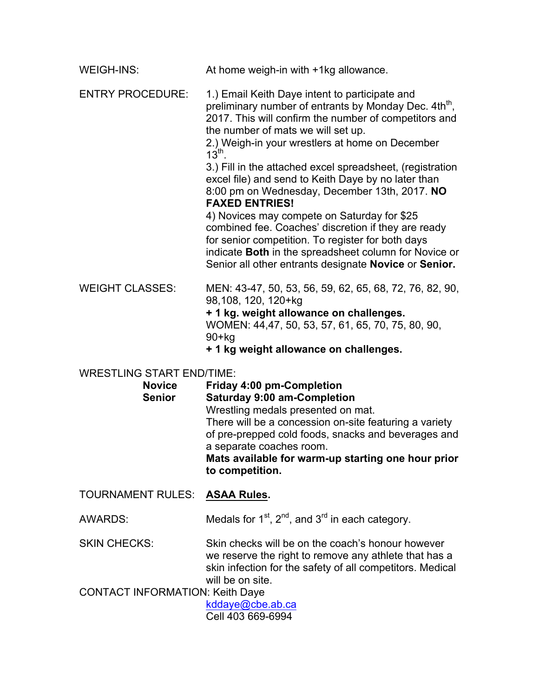| <b>WEIGH-INS:</b>                | At home weigh-in with +1kg allowance.                                                                                                                                                                                                                                                                                                                                                                                                                                                                                                                                                                                                                                                                                                                                  |
|----------------------------------|------------------------------------------------------------------------------------------------------------------------------------------------------------------------------------------------------------------------------------------------------------------------------------------------------------------------------------------------------------------------------------------------------------------------------------------------------------------------------------------------------------------------------------------------------------------------------------------------------------------------------------------------------------------------------------------------------------------------------------------------------------------------|
| <b>ENTRY PROCEDURE:</b>          | 1.) Email Keith Daye intent to participate and<br>preliminary number of entrants by Monday Dec. 4th <sup>th</sup> ,<br>2017. This will confirm the number of competitors and<br>the number of mats we will set up.<br>2.) Weigh-in your wrestlers at home on December<br>$13^{\text{th}}$ .<br>3.) Fill in the attached excel spreadsheet, (registration<br>excel file) and send to Keith Daye by no later than<br>8:00 pm on Wednesday, December 13th, 2017. NO<br><b>FAXED ENTRIES!</b><br>4) Novices may compete on Saturday for \$25<br>combined fee. Coaches' discretion if they are ready<br>for senior competition. To register for both days<br>indicate Both in the spreadsheet column for Novice or<br>Senior all other entrants designate Novice or Senior. |
| <b>WEIGHT CLASSES:</b>           | MEN: 43-47, 50, 53, 56, 59, 62, 65, 68, 72, 76, 82, 90,<br>98,108, 120, 120+kg<br>+1 kg. weight allowance on challenges.<br>WOMEN: 44,47, 50, 53, 57, 61, 65, 70, 75, 80, 90,<br>$90+kg$<br>+ 1 kg weight allowance on challenges.                                                                                                                                                                                                                                                                                                                                                                                                                                                                                                                                     |
| <b>WRESTLING START END/TIME:</b> |                                                                                                                                                                                                                                                                                                                                                                                                                                                                                                                                                                                                                                                                                                                                                                        |
| <b>Novice</b><br><b>Senior</b>   | <b>Friday 4:00 pm-Completion</b><br><b>Saturday 9:00 am-Completion</b><br>Wrestling medals presented on mat.<br>There will be a concession on-site featuring a variety<br>of pre-prepped cold foods, snacks and beverages and<br>a separate coaches room.<br>Mats available for warm-up starting one hour prior<br>to competition.                                                                                                                                                                                                                                                                                                                                                                                                                                     |

TOURNAMENT RULES: **ASAA Rules.**

AWARDS: Medals for  $1^{st}$ ,  $2^{nd}$ , and  $3^{rd}$  in each category.

SKIN CHECKS: Skin checks will be on the coach's honour however we reserve the right to remove any athlete that has a skin infection for the safety of all competitors. Medical will be on site.

CONTACT INFORMATION: Keith Daye

kddaye@cbe.ab.ca Cell 403 669-6994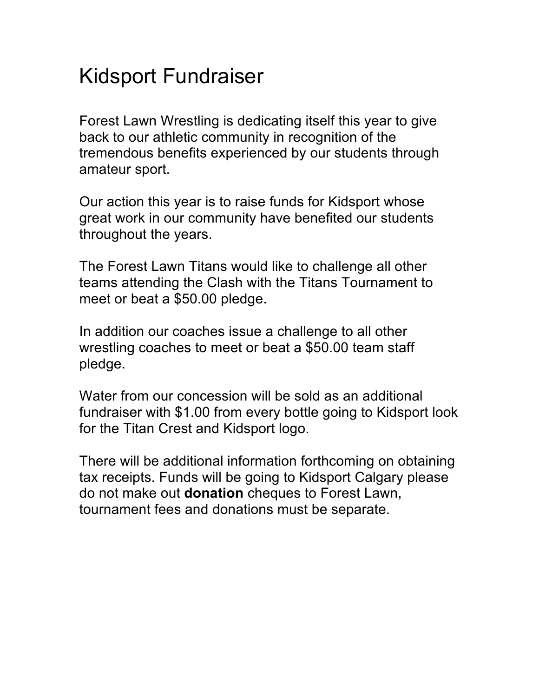## Kidsport Fundraiser

Forest Lawn Wrestling is dedicating itself this year to give back to our athletic community in recognition of the tremendous benefits experienced by our students through amateur sport.

Our action this year is to raise funds for Kidsport whose great work in our community have benefited our students throughout the years.

The Forest Lawn Titans would like to challenge all other teams attending the Clash with the Titans Tournament to meet or beat a \$50.00 pledge.

In addition our coaches issue a challenge to all other wrestling coaches to meet or beat a \$50.00 team staff pledge.

Water from our concession will be sold as an additional fundraiser with \$1.00 from every bottle going to Kidsport look for the Titan Crest and Kidsport logo.

There will be additional information forthcoming on obtaining tax receipts. Funds will be going to Kidsport Calgary please do not make out **donation** cheques to Forest Lawn, tournament fees and donations must be separate.